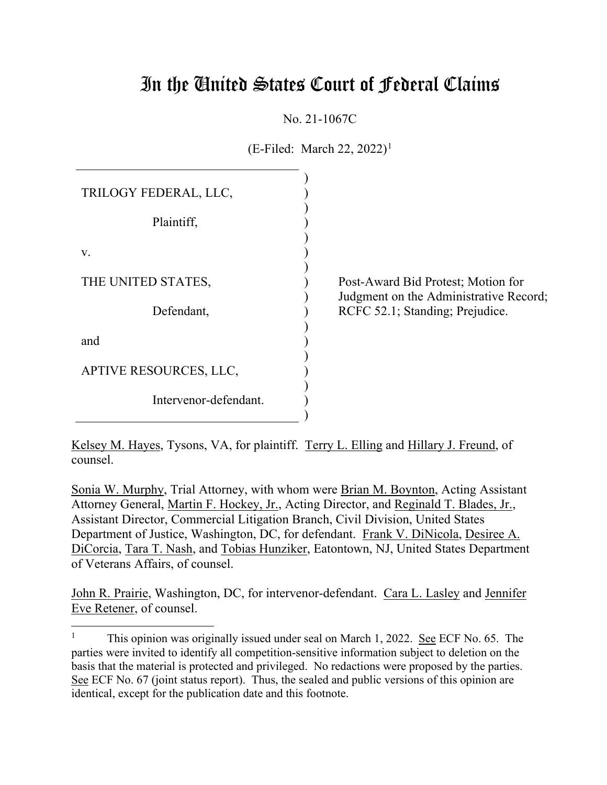# In the United States Court of Federal Claims

No. 21-1067C

 $(E\text{-Filed: March } 22, 2022)^{1}$ 

| TRILOGY FEDERAL, LLC,  |  |
|------------------------|--|
| Plaintiff,             |  |
| V.                     |  |
| THE UNITED STATES,     |  |
| Defendant,             |  |
| and                    |  |
| APTIVE RESOURCES, LLC, |  |
| Intervenor-defendant.  |  |
|                        |  |

Post-Award Bid Protest; Motion for Judgment on the Administrative Record; RCFC 52.1; Standing; Prejudice.

Kelsey M. Hayes, Tysons, VA, for plaintiff. Terry L. Elling and Hillary J. Freund, of counsel.

Sonia W. Murphy, Trial Attorney, with whom were Brian M. Boynton, Acting Assistant Attorney General, Martin F. Hockey, Jr., Acting Director, and Reginald T. Blades, Jr., Assistant Director, Commercial Litigation Branch, Civil Division, United States Department of Justice, Washington, DC, for defendant. Frank V. DiNicola, Desiree A. DiCorcia, Tara T. Nash, and Tobias Hunziker, Eatontown, NJ, United States Department of Veterans Affairs, of counsel.

John R. Prairie, Washington, DC, for intervenor-defendant. Cara L. Lasley and Jennifer Eve Retener, of counsel.

<sup>&</sup>lt;sup>1</sup> This opinion was originally issued under seal on March 1, 2022. See ECF No. 65. The parties were invited to identify all competition-sensitive information subject to deletion on the basis that the material is protected and privileged. No redactions were proposed by the parties. See ECF No. 67 (joint status report). Thus, the sealed and public versions of this opinion are identical, except for the publication date and this footnote.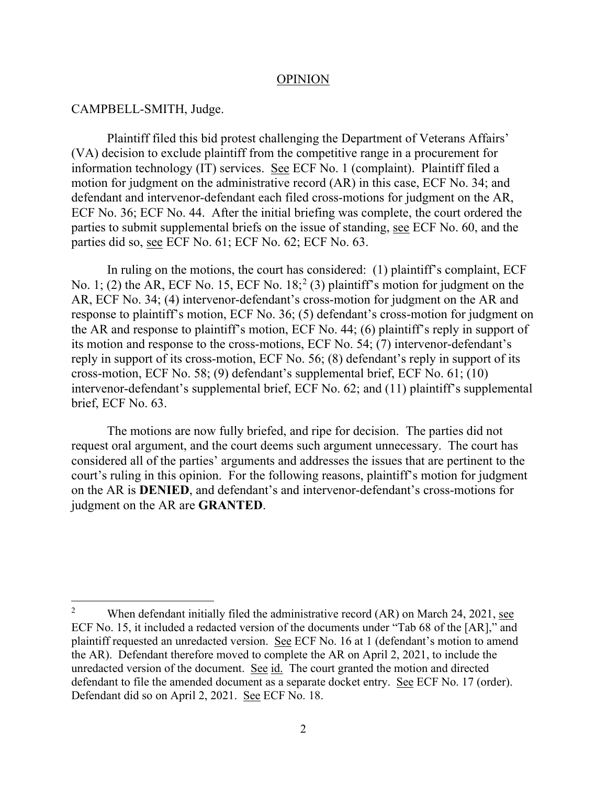#### OPINION

#### CAMPBELL-SMITH, Judge.

Plaintiff filed this bid protest challenging the Department of Veterans Affairs' (VA) decision to exclude plaintiff from the competitive range in a procurement for information technology (IT) services. See ECF No. 1 (complaint). Plaintiff filed a motion for judgment on the administrative record (AR) in this case, ECF No. 34; and defendant and intervenor-defendant each filed cross-motions for judgment on the AR, ECF No. 36; ECF No. 44. After the initial briefing was complete, the court ordered the parties to submit supplemental briefs on the issue of standing, see ECF No. 60, and the parties did so, see ECF No. 61; ECF No. 62; ECF No. 63.

In ruling on the motions, the court has considered: (1) plaintiff's complaint, ECF No. 1; (2) the AR, ECF No. 15, ECF No. 18;<sup>2</sup> (3) plaintiff's motion for judgment on the AR, ECF No. 34; (4) intervenor-defendant's cross-motion for judgment on the AR and response to plaintiff's motion, ECF No. 36; (5) defendant's cross-motion for judgment on the AR and response to plaintiff's motion, ECF No. 44; (6) plaintiff's reply in support of its motion and response to the cross-motions, ECF No. 54; (7) intervenor-defendant's reply in support of its cross-motion, ECF No. 56; (8) defendant's reply in support of its cross-motion, ECF No. 58; (9) defendant's supplemental brief, ECF No. 61; (10) intervenor-defendant's supplemental brief, ECF No. 62; and (11) plaintiff's supplemental brief, ECF No. 63.

The motions are now fully briefed, and ripe for decision. The parties did not request oral argument, and the court deems such argument unnecessary. The court has considered all of the parties' arguments and addresses the issues that are pertinent to the court's ruling in this opinion. For the following reasons, plaintiff's motion for judgment on the AR is **DENIED**, and defendant's and intervenor-defendant's cross-motions for judgment on the AR are **GRANTED**.

<sup>&</sup>lt;sup>2</sup> When defendant initially filed the administrative record  $(AR)$  on March 24, 2021, see ECF No. 15, it included a redacted version of the documents under "Tab 68 of the [AR]," and plaintiff requested an unredacted version. See ECF No. 16 at 1 (defendant's motion to amend the AR). Defendant therefore moved to complete the AR on April 2, 2021, to include the unredacted version of the document. See id. The court granted the motion and directed defendant to file the amended document as a separate docket entry. See ECF No. 17 (order). Defendant did so on April 2, 2021. See ECF No. 18.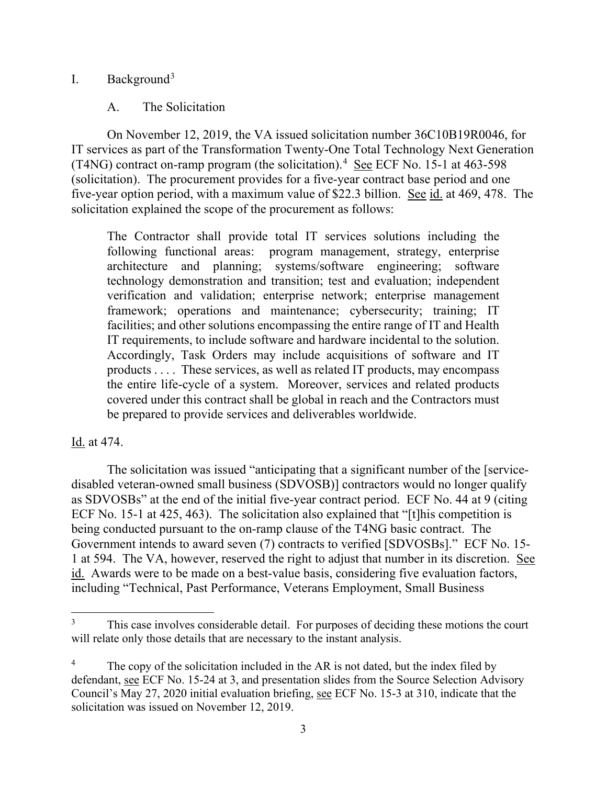## I. Background<sup>3</sup>

## A. The Solicitation

On November 12, 2019, the VA issued solicitation number 36C10B19R0046, for IT services as part of the Transformation Twenty-One Total Technology Next Generation (T4NG) contract on-ramp program (the solicitation).<sup>4</sup> See ECF No. 15-1 at 463-598 (solicitation). The procurement provides for a five-year contract base period and one five-year option period, with a maximum value of \$22.3 billion. See id. at 469, 478. The solicitation explained the scope of the procurement as follows:

The Contractor shall provide total IT services solutions including the following functional areas: program management, strategy, enterprise architecture and planning; systems/software engineering; software technology demonstration and transition; test and evaluation; independent verification and validation; enterprise network; enterprise management framework; operations and maintenance; cybersecurity; training; IT facilities; and other solutions encompassing the entire range of IT and Health IT requirements, to include software and hardware incidental to the solution. Accordingly, Task Orders may include acquisitions of software and IT products . . . . These services, as well as related IT products, may encompass the entire life-cycle of a system. Moreover, services and related products covered under this contract shall be global in reach and the Contractors must be prepared to provide services and deliverables worldwide.

## Id. at 474.

The solicitation was issued "anticipating that a significant number of the [servicedisabled veteran-owned small business (SDVOSB)] contractors would no longer qualify as SDVOSBs" at the end of the initial five-year contract period. ECF No. 44 at 9 (citing ECF No. 15-1 at 425, 463). The solicitation also explained that "[t]his competition is being conducted pursuant to the on-ramp clause of the T4NG basic contract. The Government intends to award seven (7) contracts to verified [SDVOSBs]." ECF No. 15- 1 at 594. The VA, however, reserved the right to adjust that number in its discretion. See id. Awards were to be made on a best-value basis, considering five evaluation factors, including "Technical, Past Performance, Veterans Employment, Small Business

This case involves considerable detail. For purposes of deciding these motions the court will relate only those details that are necessary to the instant analysis.

The copy of the solicitation included in the AR is not dated, but the index filed by defendant, see ECF No. 15-24 at 3, and presentation slides from the Source Selection Advisory Council's May 27, 2020 initial evaluation briefing, see ECF No. 15-3 at 310, indicate that the solicitation was issued on November 12, 2019.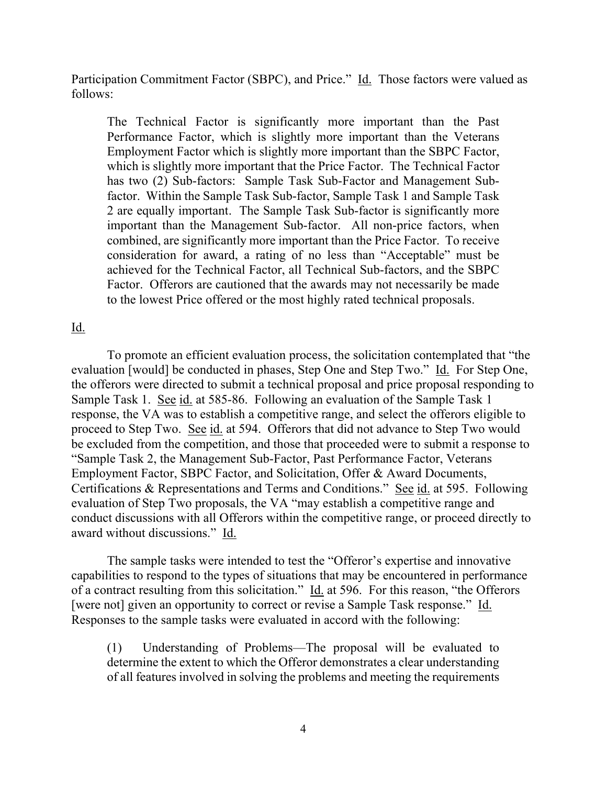Participation Commitment Factor (SBPC), and Price." Id. Those factors were valued as follows:

The Technical Factor is significantly more important than the Past Performance Factor, which is slightly more important than the Veterans Employment Factor which is slightly more important than the SBPC Factor, which is slightly more important that the Price Factor. The Technical Factor has two (2) Sub-factors: Sample Task Sub-Factor and Management Subfactor. Within the Sample Task Sub-factor, Sample Task 1 and Sample Task 2 are equally important. The Sample Task Sub-factor is significantly more important than the Management Sub-factor. All non-price factors, when combined, are significantly more important than the Price Factor. To receive consideration for award, a rating of no less than "Acceptable" must be achieved for the Technical Factor, all Technical Sub-factors, and the SBPC Factor. Offerors are cautioned that the awards may not necessarily be made to the lowest Price offered or the most highly rated technical proposals.

#### Id.

To promote an efficient evaluation process, the solicitation contemplated that "the evaluation [would] be conducted in phases, Step One and Step Two." Id. For Step One, the offerors were directed to submit a technical proposal and price proposal responding to Sample Task 1. See id. at 585-86. Following an evaluation of the Sample Task 1 response, the VA was to establish a competitive range, and select the offerors eligible to proceed to Step Two. See id. at 594. Offerors that did not advance to Step Two would be excluded from the competition, and those that proceeded were to submit a response to "Sample Task 2, the Management Sub-Factor, Past Performance Factor, Veterans Employment Factor, SBPC Factor, and Solicitation, Offer & Award Documents, Certifications & Representations and Terms and Conditions." See id. at 595. Following evaluation of Step Two proposals, the VA "may establish a competitive range and conduct discussions with all Offerors within the competitive range, or proceed directly to award without discussions." Id.

The sample tasks were intended to test the "Offeror's expertise and innovative capabilities to respond to the types of situations that may be encountered in performance of a contract resulting from this solicitation." Id. at 596. For this reason, "the Offerors [were not] given an opportunity to correct or revise a Sample Task response." Id. Responses to the sample tasks were evaluated in accord with the following:

(1) Understanding of Problems—The proposal will be evaluated to determine the extent to which the Offeror demonstrates a clear understanding of all features involved in solving the problems and meeting the requirements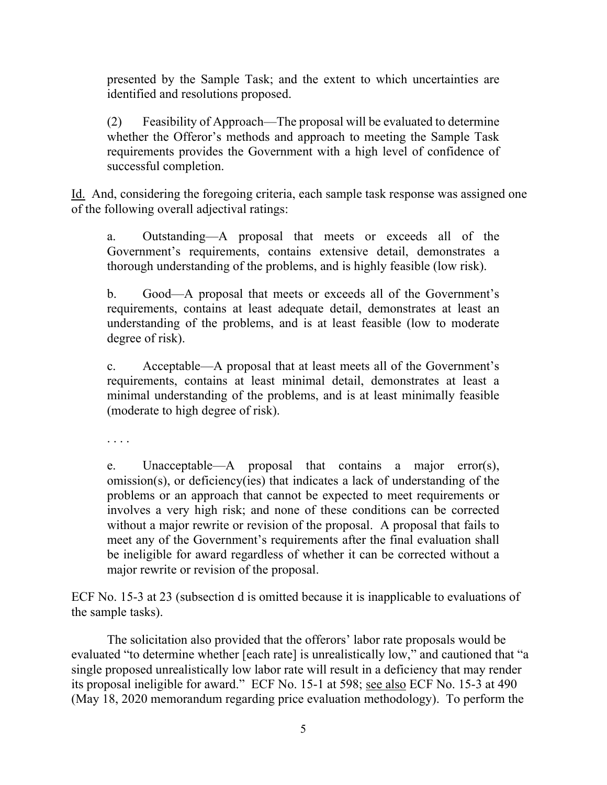presented by the Sample Task; and the extent to which uncertainties are identified and resolutions proposed.

(2) Feasibility of Approach—The proposal will be evaluated to determine whether the Offeror's methods and approach to meeting the Sample Task requirements provides the Government with a high level of confidence of successful completion.

Id. And, considering the foregoing criteria, each sample task response was assigned one of the following overall adjectival ratings:

a. Outstanding—A proposal that meets or exceeds all of the Government's requirements, contains extensive detail, demonstrates a thorough understanding of the problems, and is highly feasible (low risk).

b. Good—A proposal that meets or exceeds all of the Government's requirements, contains at least adequate detail, demonstrates at least an understanding of the problems, and is at least feasible (low to moderate degree of risk).

c. Acceptable—A proposal that at least meets all of the Government's requirements, contains at least minimal detail, demonstrates at least a minimal understanding of the problems, and is at least minimally feasible (moderate to high degree of risk).

. . . .

e. Unacceptable—A proposal that contains a major error(s), omission(s), or deficiency(ies) that indicates a lack of understanding of the problems or an approach that cannot be expected to meet requirements or involves a very high risk; and none of these conditions can be corrected without a major rewrite or revision of the proposal. A proposal that fails to meet any of the Government's requirements after the final evaluation shall be ineligible for award regardless of whether it can be corrected without a major rewrite or revision of the proposal.

ECF No. 15-3 at 23 (subsection d is omitted because it is inapplicable to evaluations of the sample tasks).

The solicitation also provided that the offerors' labor rate proposals would be evaluated "to determine whether [each rate] is unrealistically low," and cautioned that "a single proposed unrealistically low labor rate will result in a deficiency that may render its proposal ineligible for award." ECF No. 15-1 at 598; see also ECF No. 15-3 at 490 (May 18, 2020 memorandum regarding price evaluation methodology). To perform the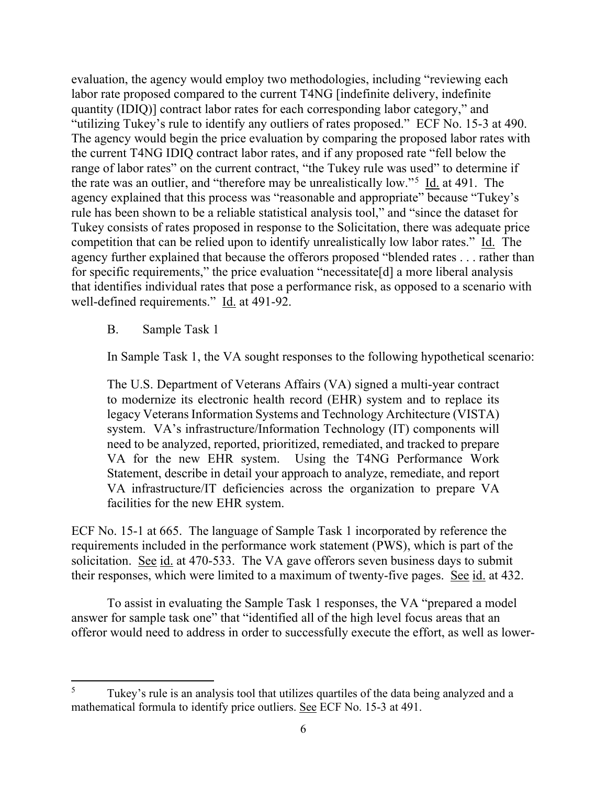evaluation, the agency would employ two methodologies, including "reviewing each labor rate proposed compared to the current T4NG [indefinite delivery, indefinite quantity (IDIQ)] contract labor rates for each corresponding labor category," and "utilizing Tukey's rule to identify any outliers of rates proposed." ECF No. 15-3 at 490. The agency would begin the price evaluation by comparing the proposed labor rates with the current T4NG IDIQ contract labor rates, and if any proposed rate "fell below the range of labor rates" on the current contract, "the Tukey rule was used" to determine if the rate was an outlier, and "therefore may be unrealistically low."<sup>5</sup> Id. at 491. The agency explained that this process was "reasonable and appropriate" because "Tukey's rule has been shown to be a reliable statistical analysis tool," and "since the dataset for Tukey consists of rates proposed in response to the Solicitation, there was adequate price competition that can be relied upon to identify unrealistically low labor rates." Id. The agency further explained that because the offerors proposed "blended rates . . . rather than for specific requirements," the price evaluation "necessitate[d] a more liberal analysis that identifies individual rates that pose a performance risk, as opposed to a scenario with well-defined requirements." Id. at 491-92.

B. Sample Task 1

In Sample Task 1, the VA sought responses to the following hypothetical scenario:

The U.S. Department of Veterans Affairs (VA) signed a multi-year contract to modernize its electronic health record (EHR) system and to replace its legacy Veterans Information Systems and Technology Architecture (VISTA) system. VA's infrastructure/Information Technology (IT) components will need to be analyzed, reported, prioritized, remediated, and tracked to prepare VA for the new EHR system. Using the T4NG Performance Work Statement, describe in detail your approach to analyze, remediate, and report VA infrastructure/IT deficiencies across the organization to prepare VA facilities for the new EHR system.

ECF No. 15-1 at 665. The language of Sample Task 1 incorporated by reference the requirements included in the performance work statement (PWS), which is part of the solicitation. See id. at 470-533. The VA gave offerors seven business days to submit their responses, which were limited to a maximum of twenty-five pages. See id. at 432.

To assist in evaluating the Sample Task 1 responses, the VA "prepared a model answer for sample task one" that "identified all of the high level focus areas that an offeror would need to address in order to successfully execute the effort, as well as lower-

<sup>5</sup> Tukey's rule is an analysis tool that utilizes quartiles of the data being analyzed and a mathematical formula to identify price outliers. See ECF No. 15-3 at 491.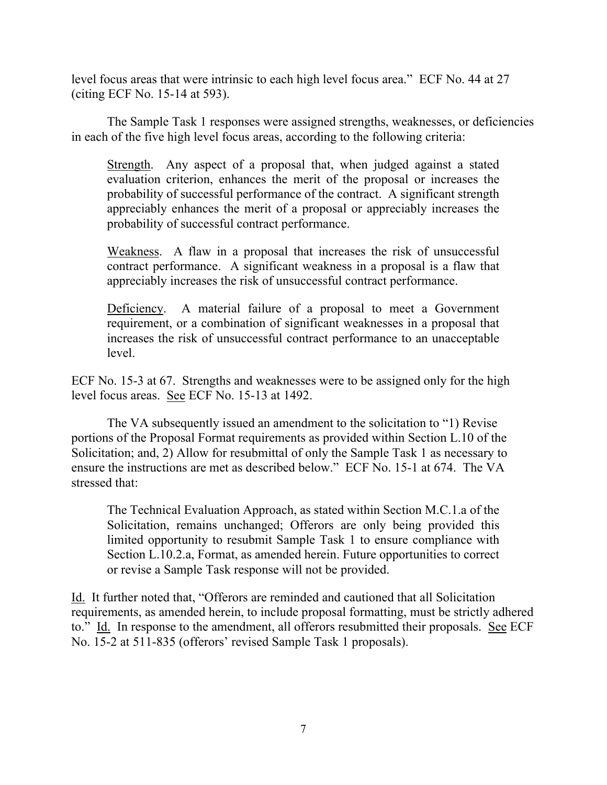level focus areas that were intrinsic to each high level focus area." ECF No. 44 at 27 (citing ECF No. 15-14 at 593).

The Sample Task 1 responses were assigned strengths, weaknesses, or deficiencies in each of the five high level focus areas, according to the following criteria:

Strength. Any aspect of a proposal that, when judged against a stated evaluation criterion, enhances the merit of the proposal or increases the probability of successful performance of the contract. A significant strength appreciably enhances the merit of a proposal or appreciably increases the probability of successful contract performance.

Weakness. A flaw in a proposal that increases the risk of unsuccessful contract performance. A significant weakness in a proposal is a flaw that appreciably increases the risk of unsuccessful contract performance.

Deficiency. A material failure of a proposal to meet a Government requirement, or a combination of significant weaknesses in a proposal that increases the risk of unsuccessful contract performance to an unacceptable level.

ECF No. 15-3 at 67. Strengths and weaknesses were to be assigned only for the high level focus areas. See ECF No. 15-13 at 1492.

The VA subsequently issued an amendment to the solicitation to "1) Revise portions of the Proposal Format requirements as provided within Section L.10 of the Solicitation; and, 2) Allow for resubmittal of only the Sample Task 1 as necessary to ensure the instructions are met as described below." ECF No. 15-1 at 674. The VA stressed that:

The Technical Evaluation Approach, as stated within Section M.C.1.a of the Solicitation, remains unchanged; Offerors are only being provided this limited opportunity to resubmit Sample Task 1 to ensure compliance with Section L.10.2.a, Format, as amended herein. Future opportunities to correct or revise a Sample Task response will not be provided.

Id. It further noted that, "Offerors are reminded and cautioned that all Solicitation requirements, as amended herein, to include proposal formatting, must be strictly adhered to." Id. In response to the amendment, all offerors resubmitted their proposals. See ECF No. 15-2 at 511-835 (offerors' revised Sample Task 1 proposals).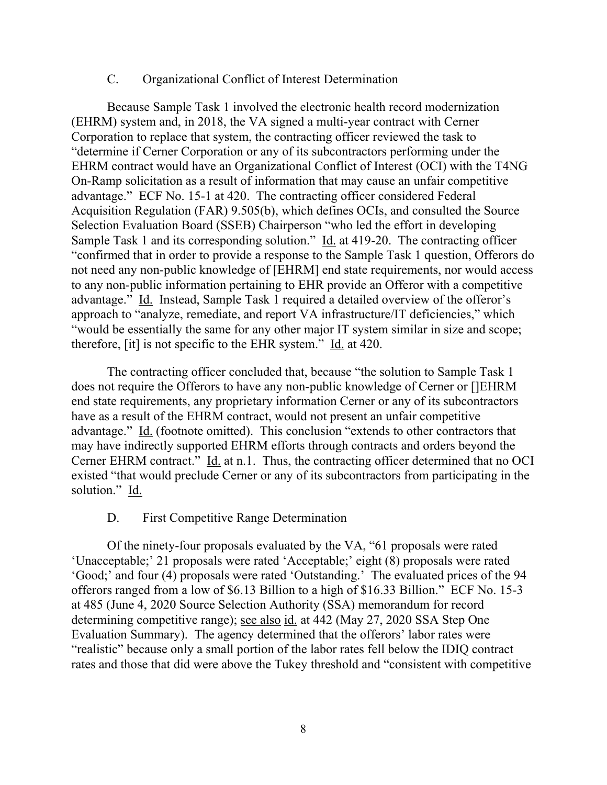#### C. Organizational Conflict of Interest Determination

Because Sample Task 1 involved the electronic health record modernization (EHRM) system and, in 2018, the VA signed a multi-year contract with Cerner Corporation to replace that system, the contracting officer reviewed the task to "determine if Cerner Corporation or any of its subcontractors performing under the EHRM contract would have an Organizational Conflict of Interest (OCI) with the T4NG On-Ramp solicitation as a result of information that may cause an unfair competitive advantage." ECF No. 15-1 at 420. The contracting officer considered Federal Acquisition Regulation (FAR) 9.505(b), which defines OCIs, and consulted the Source Selection Evaluation Board (SSEB) Chairperson "who led the effort in developing Sample Task 1 and its corresponding solution." Id. at 419-20. The contracting officer "confirmed that in order to provide a response to the Sample Task 1 question, Offerors do not need any non-public knowledge of [EHRM] end state requirements, nor would access to any non-public information pertaining to EHR provide an Offeror with a competitive advantage." Id. Instead, Sample Task 1 required a detailed overview of the offeror's approach to "analyze, remediate, and report VA infrastructure/IT deficiencies," which "would be essentially the same for any other major IT system similar in size and scope; therefore, [it] is not specific to the EHR system." Id. at 420.

The contracting officer concluded that, because "the solution to Sample Task 1 does not require the Offerors to have any non-public knowledge of Cerner or []EHRM end state requirements, any proprietary information Cerner or any of its subcontractors have as a result of the EHRM contract, would not present an unfair competitive advantage." Id. (footnote omitted). This conclusion "extends to other contractors that may have indirectly supported EHRM efforts through contracts and orders beyond the Cerner EHRM contract." Id. at n.1. Thus, the contracting officer determined that no OCI existed "that would preclude Cerner or any of its subcontractors from participating in the solution." Id.

#### D. First Competitive Range Determination

Of the ninety-four proposals evaluated by the VA, "61 proposals were rated 'Unacceptable;' 21 proposals were rated 'Acceptable;' eight (8) proposals were rated 'Good;' and four (4) proposals were rated 'Outstanding.' The evaluated prices of the 94 offerors ranged from a low of \$6.13 Billion to a high of \$16.33 Billion." ECF No. 15-3 at 485 (June 4, 2020 Source Selection Authority (SSA) memorandum for record determining competitive range); see also id. at 442 (May 27, 2020 SSA Step One Evaluation Summary). The agency determined that the offerors' labor rates were "realistic" because only a small portion of the labor rates fell below the IDIQ contract rates and those that did were above the Tukey threshold and "consistent with competitive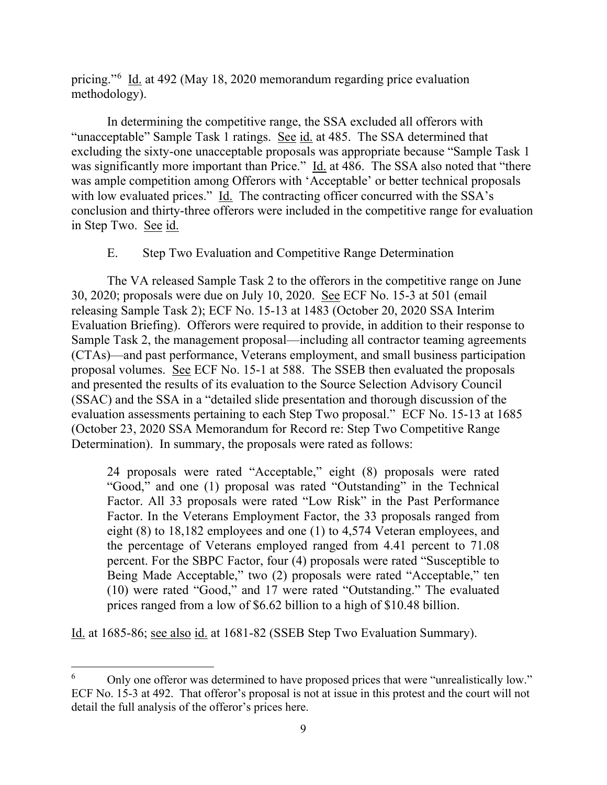pricing."<sup>6</sup> Id. at 492 (May 18, 2020 memorandum regarding price evaluation methodology).

In determining the competitive range, the SSA excluded all offerors with "unacceptable" Sample Task 1 ratings. See id. at 485. The SSA determined that excluding the sixty-one unacceptable proposals was appropriate because "Sample Task 1 was significantly more important than Price." Id. at 486. The SSA also noted that "there was ample competition among Offerors with 'Acceptable' or better technical proposals with low evaluated prices." Id. The contracting officer concurred with the SSA's conclusion and thirty-three offerors were included in the competitive range for evaluation in Step Two. See id.

## E. Step Two Evaluation and Competitive Range Determination

The VA released Sample Task 2 to the offerors in the competitive range on June 30, 2020; proposals were due on July 10, 2020. See ECF No. 15-3 at 501 (email releasing Sample Task 2); ECF No. 15-13 at 1483 (October 20, 2020 SSA Interim Evaluation Briefing). Offerors were required to provide, in addition to their response to Sample Task 2, the management proposal—including all contractor teaming agreements (CTAs)—and past performance, Veterans employment, and small business participation proposal volumes. See ECF No. 15-1 at 588. The SSEB then evaluated the proposals and presented the results of its evaluation to the Source Selection Advisory Council (SSAC) and the SSA in a "detailed slide presentation and thorough discussion of the evaluation assessments pertaining to each Step Two proposal." ECF No. 15-13 at 1685 (October 23, 2020 SSA Memorandum for Record re: Step Two Competitive Range Determination). In summary, the proposals were rated as follows:

24 proposals were rated "Acceptable," eight (8) proposals were rated "Good," and one (1) proposal was rated "Outstanding" in the Technical Factor. All 33 proposals were rated "Low Risk" in the Past Performance Factor. In the Veterans Employment Factor, the 33 proposals ranged from eight (8) to 18,182 employees and one (1) to 4,574 Veteran employees, and the percentage of Veterans employed ranged from 4.41 percent to 71.08 percent. For the SBPC Factor, four (4) proposals were rated "Susceptible to Being Made Acceptable," two (2) proposals were rated "Acceptable," ten (10) were rated "Good," and 17 were rated "Outstanding." The evaluated prices ranged from a low of \$6.62 billion to a high of \$10.48 billion.

Id. at 1685-86; see also id. at 1681-82 (SSEB Step Two Evaluation Summary).

<sup>&</sup>lt;sup>6</sup> Only one offeror was determined to have proposed prices that were "unrealistically low." ECF No. 15-3 at 492. That offeror's proposal is not at issue in this protest and the court will not detail the full analysis of the offeror's prices here.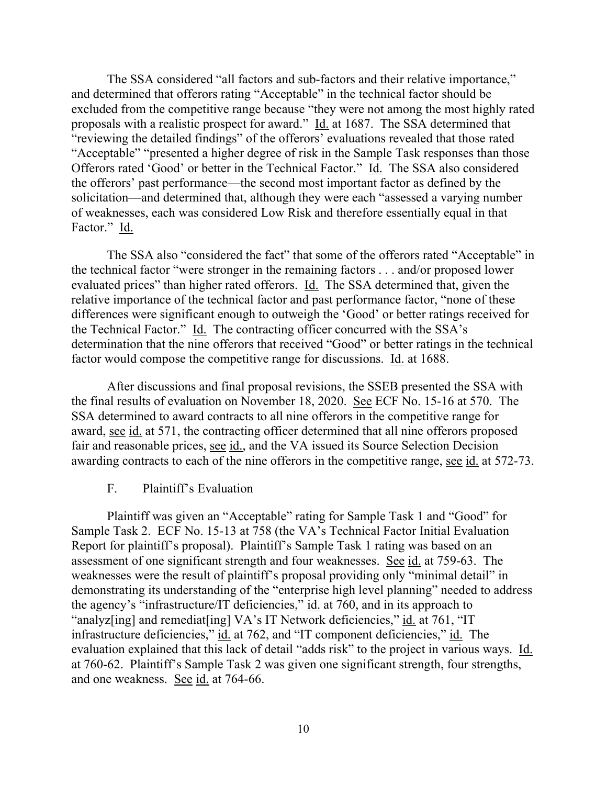The SSA considered "all factors and sub-factors and their relative importance," and determined that offerors rating "Acceptable" in the technical factor should be excluded from the competitive range because "they were not among the most highly rated proposals with a realistic prospect for award." Id. at 1687. The SSA determined that "reviewing the detailed findings" of the offerors' evaluations revealed that those rated "Acceptable" "presented a higher degree of risk in the Sample Task responses than those Offerors rated 'Good' or better in the Technical Factor." Id. The SSA also considered the offerors' past performance—the second most important factor as defined by the solicitation—and determined that, although they were each "assessed a varying number of weaknesses, each was considered Low Risk and therefore essentially equal in that Factor." Id.

The SSA also "considered the fact" that some of the offerors rated "Acceptable" in the technical factor "were stronger in the remaining factors . . . and/or proposed lower evaluated prices" than higher rated offerors. Id. The SSA determined that, given the relative importance of the technical factor and past performance factor, "none of these differences were significant enough to outweigh the 'Good' or better ratings received for the Technical Factor." Id. The contracting officer concurred with the SSA's determination that the nine offerors that received "Good" or better ratings in the technical factor would compose the competitive range for discussions. Id. at 1688.

After discussions and final proposal revisions, the SSEB presented the SSA with the final results of evaluation on November 18, 2020. See ECF No. 15-16 at 570. The SSA determined to award contracts to all nine offerors in the competitive range for award, see id. at 571, the contracting officer determined that all nine offerors proposed fair and reasonable prices, see id., and the VA issued its Source Selection Decision awarding contracts to each of the nine offerors in the competitive range, see id. at 572-73.

#### F. Plaintiff's Evaluation

Plaintiff was given an "Acceptable" rating for Sample Task 1 and "Good" for Sample Task 2. ECF No. 15-13 at 758 (the VA's Technical Factor Initial Evaluation Report for plaintiff's proposal). Plaintiff's Sample Task 1 rating was based on an assessment of one significant strength and four weaknesses. See id. at 759-63. The weaknesses were the result of plaintiff's proposal providing only "minimal detail" in demonstrating its understanding of the "enterprise high level planning" needed to address the agency's "infrastructure/IT deficiencies," id. at 760, and in its approach to "analyz[ing] and remediat[ing] VA's IT Network deficiencies," id. at 761, "IT infrastructure deficiencies," id. at 762, and "IT component deficiencies," id. The evaluation explained that this lack of detail "adds risk" to the project in various ways. Id. at 760-62. Plaintiff's Sample Task 2 was given one significant strength, four strengths, and one weakness. See id. at 764-66.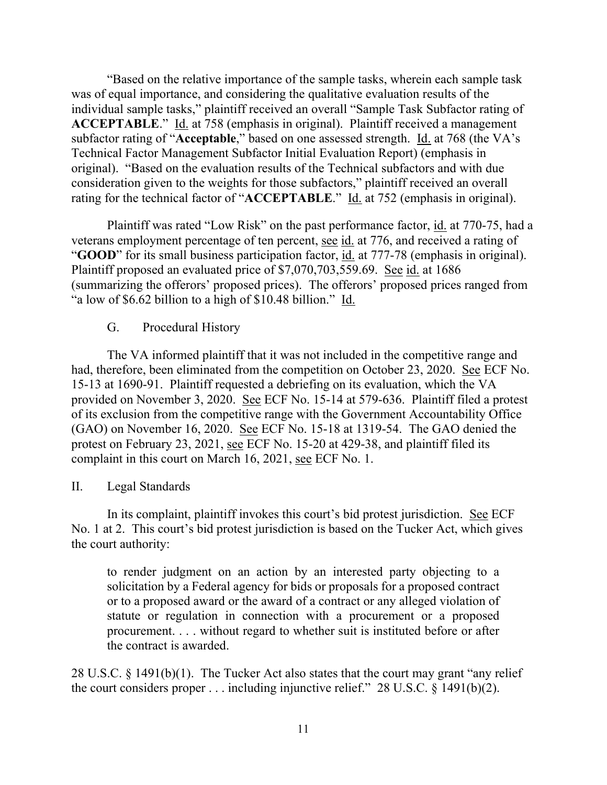"Based on the relative importance of the sample tasks, wherein each sample task was of equal importance, and considering the qualitative evaluation results of the individual sample tasks," plaintiff received an overall "Sample Task Subfactor rating of **ACCEPTABLE.**" Id. at 758 (emphasis in original). Plaintiff received a management subfactor rating of "**Acceptable**," based on one assessed strength. Id. at 768 (the VA's Technical Factor Management Subfactor Initial Evaluation Report) (emphasis in original). "Based on the evaluation results of the Technical subfactors and with due consideration given to the weights for those subfactors," plaintiff received an overall rating for the technical factor of "**ACCEPTABLE**." Id. at 752 (emphasis in original).

Plaintiff was rated "Low Risk" on the past performance factor, id. at 770-75, had a veterans employment percentage of ten percent, see id. at 776, and received a rating of "**GOOD**" for its small business participation factor, id. at 777-78 (emphasis in original). Plaintiff proposed an evaluated price of \$7,070,703,559.69. See id. at 1686 (summarizing the offerors' proposed prices). The offerors' proposed prices ranged from "a low of \$6.62 billion to a high of \$10.48 billion." Id.

## G. Procedural History

The VA informed plaintiff that it was not included in the competitive range and had, therefore, been eliminated from the competition on October 23, 2020. See ECF No. 15-13 at 1690-91. Plaintiff requested a debriefing on its evaluation, which the VA provided on November 3, 2020. See ECF No. 15-14 at 579-636. Plaintiff filed a protest of its exclusion from the competitive range with the Government Accountability Office (GAO) on November 16, 2020. See ECF No. 15-18 at 1319-54. The GAO denied the protest on February 23, 2021, see ECF No. 15-20 at 429-38, and plaintiff filed its complaint in this court on March 16, 2021, see ECF No. 1.

## II. Legal Standards

In its complaint, plaintiff invokes this court's bid protest jurisdiction. See ECF No. 1 at 2. This court's bid protest jurisdiction is based on the Tucker Act, which gives the court authority:

to render judgment on an action by an interested party objecting to a solicitation by a Federal agency for bids or proposals for a proposed contract or to a proposed award or the award of a contract or any alleged violation of statute or regulation in connection with a procurement or a proposed procurement. . . . without regard to whether suit is instituted before or after the contract is awarded.

28 U.S.C. § 1491(b)(1). The Tucker Act also states that the court may grant "any relief the court considers proper  $\dots$  including injunctive relief." 28 U.S.C. § 1491(b)(2).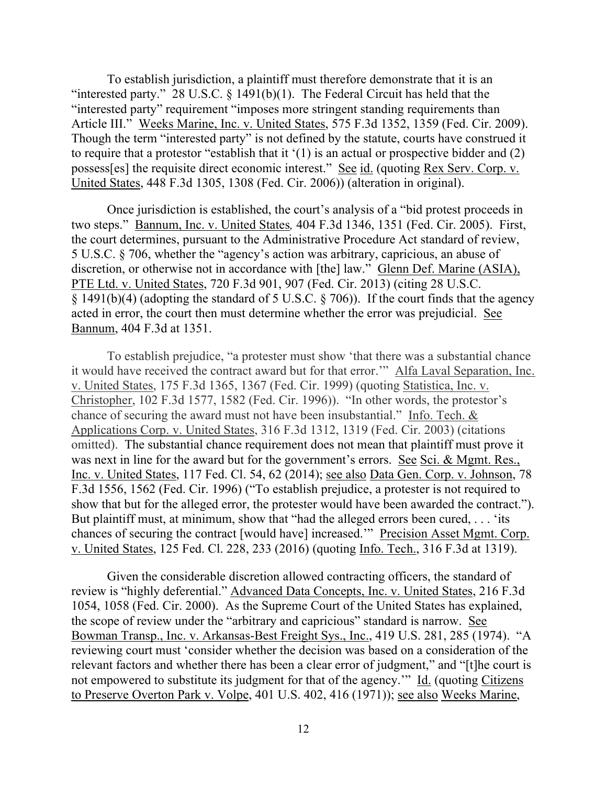To establish jurisdiction, a plaintiff must therefore demonstrate that it is an "interested party." 28 U.S.C.  $\S$  1491(b)(1). The Federal Circuit has held that the "interested party" requirement "imposes more stringent standing requirements than Article III." Weeks Marine, Inc. v. United States, 575 F.3d 1352, 1359 (Fed. Cir. 2009). Though the term "interested party" is not defined by the statute, courts have construed it to require that a protestor "establish that it '(1) is an actual or prospective bidder and (2) possess[es] the requisite direct economic interest." See id. (quoting Rex Serv. Corp. v. United States, 448 F.3d 1305, 1308 (Fed. Cir. 2006)) (alteration in original).

Once jurisdiction is established, the court's analysis of a "bid protest proceeds in two steps." Bannum, Inc. v. United States*,* 404 F.3d 1346, 1351 (Fed. Cir. 2005). First, the court determines, pursuant to the Administrative Procedure Act standard of review, 5 U.S.C. § 706, whether the "agency's action was arbitrary, capricious, an abuse of discretion, or otherwise not in accordance with [the] law." Glenn Def. Marine (ASIA), PTE Ltd. v. United States, 720 F.3d 901, 907 (Fed. Cir. 2013) (citing 28 U.S.C. § 1491(b)(4) (adopting the standard of 5 U.S.C. § 706)). If the court finds that the agency acted in error, the court then must determine whether the error was prejudicial. See Bannum, 404 F.3d at 1351.

To establish prejudice, "a protester must show 'that there was a substantial chance it would have received the contract award but for that error.'" Alfa Laval Separation, Inc. v. United States, 175 F.3d 1365, 1367 (Fed. Cir. 1999) (quoting Statistica, Inc. v. Christopher, 102 F.3d 1577, 1582 (Fed. Cir. 1996)). "In other words, the protestor's chance of securing the award must not have been insubstantial." Info. Tech. & Applications Corp. v. United States, 316 F.3d 1312, 1319 (Fed. Cir. 2003) (citations omitted). The substantial chance requirement does not mean that plaintiff must prove it was next in line for the award but for the government's errors. See Sci. & Mgmt. Res., Inc. v. United States, 117 Fed. Cl. 54, 62 (2014); see also Data Gen. Corp. v. Johnson, 78 F.3d 1556, 1562 (Fed. Cir. 1996) ("To establish prejudice, a protester is not required to show that but for the alleged error, the protester would have been awarded the contract."). But plaintiff must, at minimum, show that "had the alleged errors been cured, . . . 'its chances of securing the contract [would have] increased.'" Precision Asset Mgmt. Corp. v. United States, 125 Fed. Cl. 228, 233 (2016) (quoting Info. Tech., 316 F.3d at 1319).

Given the considerable discretion allowed contracting officers, the standard of review is "highly deferential." Advanced Data Concepts, Inc. v. United States, 216 F.3d 1054, 1058 (Fed. Cir. 2000). As the Supreme Court of the United States has explained, the scope of review under the "arbitrary and capricious" standard is narrow. See Bowman Transp., Inc. v. Arkansas-Best Freight Sys., Inc., 419 U.S. 281, 285 (1974). "A reviewing court must 'consider whether the decision was based on a consideration of the relevant factors and whether there has been a clear error of judgment," and "[t]he court is not empowered to substitute its judgment for that of the agency.'" Id. (quoting Citizens to Preserve Overton Park v. Volpe, 401 U.S. 402, 416 (1971)); see also Weeks Marine,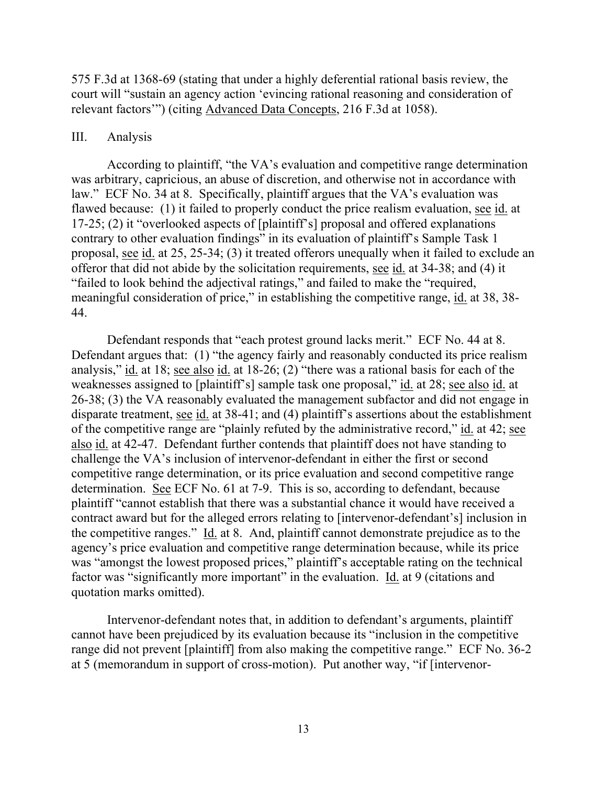575 F.3d at 1368-69 (stating that under a highly deferential rational basis review, the court will "sustain an agency action 'evincing rational reasoning and consideration of relevant factors'") (citing Advanced Data Concepts, 216 F.3d at 1058).

#### III. Analysis

According to plaintiff, "the VA's evaluation and competitive range determination was arbitrary, capricious, an abuse of discretion, and otherwise not in accordance with law." ECF No. 34 at 8. Specifically, plaintiff argues that the VA's evaluation was flawed because: (1) it failed to properly conduct the price realism evaluation, see id. at 17-25; (2) it "overlooked aspects of [plaintiff's] proposal and offered explanations contrary to other evaluation findings" in its evaluation of plaintiff's Sample Task 1 proposal, see id. at 25, 25-34; (3) it treated offerors unequally when it failed to exclude an offeror that did not abide by the solicitation requirements, see id. at 34-38; and (4) it "failed to look behind the adjectival ratings," and failed to make the "required, meaningful consideration of price," in establishing the competitive range, id. at 38, 38- 44.

Defendant responds that "each protest ground lacks merit." ECF No. 44 at 8. Defendant argues that: (1) "the agency fairly and reasonably conducted its price realism analysis," id. at 18; see also id. at 18-26; (2) "there was a rational basis for each of the weaknesses assigned to [plaintiff's] sample task one proposal," id. at 28; see also id. at 26-38; (3) the VA reasonably evaluated the management subfactor and did not engage in disparate treatment, see id. at 38-41; and (4) plaintiff's assertions about the establishment of the competitive range are "plainly refuted by the administrative record," id. at 42; see also id. at 42-47. Defendant further contends that plaintiff does not have standing to challenge the VA's inclusion of intervenor-defendant in either the first or second competitive range determination, or its price evaluation and second competitive range determination. See ECF No. 61 at 7-9. This is so, according to defendant, because plaintiff "cannot establish that there was a substantial chance it would have received a contract award but for the alleged errors relating to [intervenor-defendant's] inclusion in the competitive ranges." Id. at 8. And, plaintiff cannot demonstrate prejudice as to the agency's price evaluation and competitive range determination because, while its price was "amongst the lowest proposed prices," plaintiff's acceptable rating on the technical factor was "significantly more important" in the evaluation. Id. at 9 (citations and quotation marks omitted).

Intervenor-defendant notes that, in addition to defendant's arguments, plaintiff cannot have been prejudiced by its evaluation because its "inclusion in the competitive range did not prevent [plaintiff] from also making the competitive range." ECF No. 36-2 at 5 (memorandum in support of cross-motion). Put another way, "if [intervenor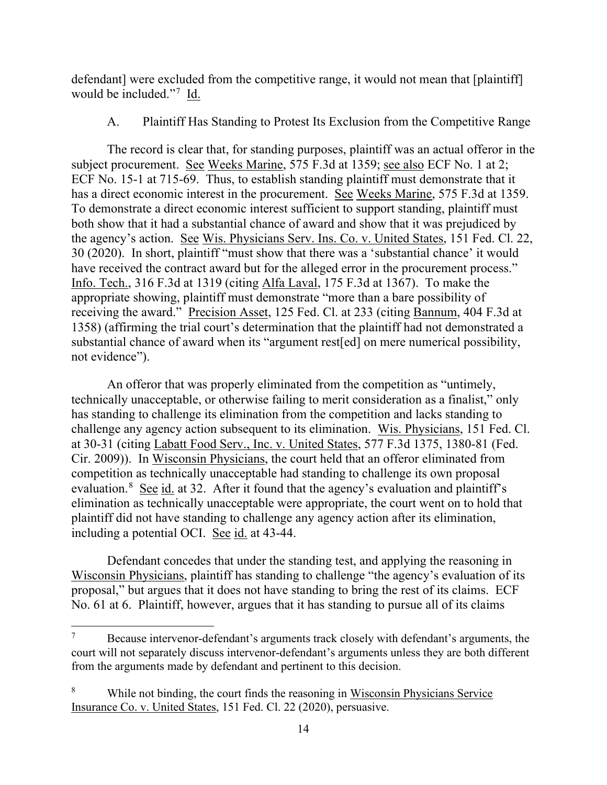defendant] were excluded from the competitive range, it would not mean that [plaintiff] would be included."<sup>7</sup> Id.

## A. Plaintiff Has Standing to Protest Its Exclusion from the Competitive Range

The record is clear that, for standing purposes, plaintiff was an actual offeror in the subject procurement. See Weeks Marine, 575 F.3d at 1359; see also ECF No. 1 at 2; ECF No. 15-1 at 715-69. Thus, to establish standing plaintiff must demonstrate that it has a direct economic interest in the procurement. See Weeks Marine, 575 F.3d at 1359. To demonstrate a direct economic interest sufficient to support standing, plaintiff must both show that it had a substantial chance of award and show that it was prejudiced by the agency's action. See Wis. Physicians Serv. Ins. Co. v. United States, 151 Fed. Cl. 22, 30 (2020). In short, plaintiff "must show that there was a 'substantial chance' it would have received the contract award but for the alleged error in the procurement process." Info. Tech., 316 F.3d at 1319 (citing Alfa Laval, 175 F.3d at 1367). To make the appropriate showing, plaintiff must demonstrate "more than a bare possibility of receiving the award." Precision Asset, 125 Fed. Cl. at 233 (citing Bannum, 404 F.3d at 1358) (affirming the trial court's determination that the plaintiff had not demonstrated a substantial chance of award when its "argument rest[ed] on mere numerical possibility, not evidence").

An offeror that was properly eliminated from the competition as "untimely, technically unacceptable, or otherwise failing to merit consideration as a finalist," only has standing to challenge its elimination from the competition and lacks standing to challenge any agency action subsequent to its elimination. Wis. Physicians, 151 Fed. Cl. at 30-31 (citing Labatt Food Serv., Inc. v. United States, 577 F.3d 1375, 1380-81 (Fed. Cir. 2009)). In Wisconsin Physicians, the court held that an offeror eliminated from competition as technically unacceptable had standing to challenge its own proposal evaluation.<sup>8</sup> See id. at 32. After it found that the agency's evaluation and plaintiff's elimination as technically unacceptable were appropriate, the court went on to hold that plaintiff did not have standing to challenge any agency action after its elimination, including a potential OCI. See id. at 43-44.

Defendant concedes that under the standing test, and applying the reasoning in Wisconsin Physicians, plaintiff has standing to challenge "the agency's evaluation of its proposal," but argues that it does not have standing to bring the rest of its claims. ECF No. 61 at 6. Plaintiff, however, argues that it has standing to pursue all of its claims

 $7 \text{}$  Because intervenor-defendant's arguments track closely with defendant's arguments, the court will not separately discuss intervenor-defendant's arguments unless they are both different from the arguments made by defendant and pertinent to this decision.

<sup>8</sup> While not binding, the court finds the reasoning in Wisconsin Physicians Service Insurance Co. v. United States, 151 Fed. Cl. 22 (2020), persuasive.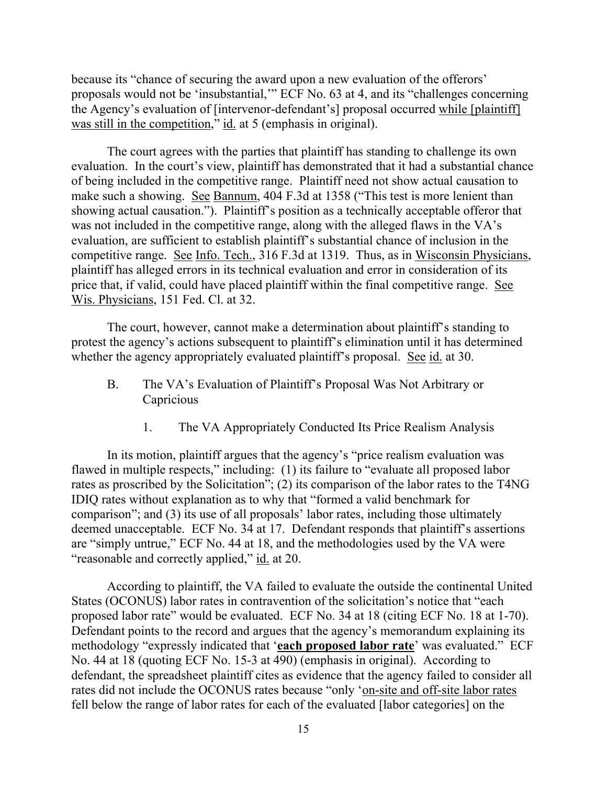because its "chance of securing the award upon a new evaluation of the offerors' proposals would not be 'insubstantial,'" ECF No. 63 at 4, and its "challenges concerning the Agency's evaluation of [intervenor-defendant's] proposal occurred while [plaintiff] was still in the competition," id. at 5 (emphasis in original).

The court agrees with the parties that plaintiff has standing to challenge its own evaluation. In the court's view, plaintiff has demonstrated that it had a substantial chance of being included in the competitive range. Plaintiff need not show actual causation to make such a showing. See Bannum, 404 F.3d at 1358 ("This test is more lenient than showing actual causation."). Plaintiff's position as a technically acceptable offeror that was not included in the competitive range, along with the alleged flaws in the VA's evaluation, are sufficient to establish plaintiff's substantial chance of inclusion in the competitive range. See Info. Tech., 316 F.3d at 1319. Thus, as in Wisconsin Physicians, plaintiff has alleged errors in its technical evaluation and error in consideration of its price that, if valid, could have placed plaintiff within the final competitive range. See Wis. Physicians, 151 Fed. Cl. at 32.

The court, however, cannot make a determination about plaintiff's standing to protest the agency's actions subsequent to plaintiff's elimination until it has determined whether the agency appropriately evaluated plaintiff's proposal. See id. at 30.

- B. The VA's Evaluation of Plaintiff's Proposal Was Not Arbitrary or Capricious
	- 1. The VA Appropriately Conducted Its Price Realism Analysis

In its motion, plaintiff argues that the agency's "price realism evaluation was flawed in multiple respects," including: (1) its failure to "evaluate all proposed labor rates as proscribed by the Solicitation"; (2) its comparison of the labor rates to the T4NG IDIQ rates without explanation as to why that "formed a valid benchmark for comparison"; and (3) its use of all proposals' labor rates, including those ultimately deemed unacceptable. ECF No. 34 at 17. Defendant responds that plaintiff's assertions are "simply untrue," ECF No. 44 at 18, and the methodologies used by the VA were "reasonable and correctly applied," id. at 20.

According to plaintiff, the VA failed to evaluate the outside the continental United States (OCONUS) labor rates in contravention of the solicitation's notice that "each proposed labor rate" would be evaluated. ECF No. 34 at 18 (citing ECF No. 18 at 1-70). Defendant points to the record and argues that the agency's memorandum explaining its methodology "expressly indicated that '**each proposed labor rate**' was evaluated." ECF No. 44 at 18 (quoting ECF No. 15-3 at 490) (emphasis in original). According to defendant, the spreadsheet plaintiff cites as evidence that the agency failed to consider all rates did not include the OCONUS rates because "only 'on-site and off-site labor rates fell below the range of labor rates for each of the evaluated [labor categories] on the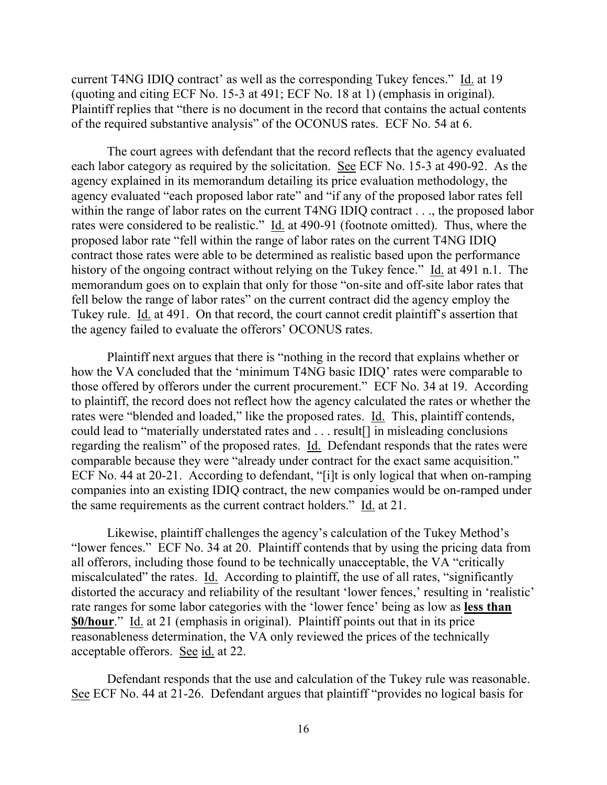current T4NG IDIQ contract' as well as the corresponding Tukey fences." Id. at 19 (quoting and citing ECF No. 15-3 at 491; ECF No. 18 at 1) (emphasis in original). Plaintiff replies that "there is no document in the record that contains the actual contents of the required substantive analysis" of the OCONUS rates. ECF No. 54 at 6.

The court agrees with defendant that the record reflects that the agency evaluated each labor category as required by the solicitation. See ECF No. 15-3 at 490-92. As the agency explained in its memorandum detailing its price evaluation methodology, the agency evaluated "each proposed labor rate" and "if any of the proposed labor rates fell within the range of labor rates on the current T4NG IDIQ contract . . ., the proposed labor rates were considered to be realistic." Id. at 490-91 (footnote omitted). Thus, where the proposed labor rate "fell within the range of labor rates on the current T4NG IDIQ contract those rates were able to be determined as realistic based upon the performance history of the ongoing contract without relying on the Tukey fence." Id. at 491 n.1. The memorandum goes on to explain that only for those "on-site and off-site labor rates that fell below the range of labor rates" on the current contract did the agency employ the Tukey rule. Id. at 491. On that record, the court cannot credit plaintiff's assertion that the agency failed to evaluate the offerors' OCONUS rates.

Plaintiff next argues that there is "nothing in the record that explains whether or how the VA concluded that the 'minimum T4NG basic IDIQ' rates were comparable to those offered by offerors under the current procurement." ECF No. 34 at 19. According to plaintiff, the record does not reflect how the agency calculated the rates or whether the rates were "blended and loaded," like the proposed rates. Id. This, plaintiff contends, could lead to "materially understated rates and . . . result[] in misleading conclusions regarding the realism" of the proposed rates. Id. Defendant responds that the rates were comparable because they were "already under contract for the exact same acquisition." ECF No. 44 at 20-21. According to defendant, "[i]t is only logical that when on-ramping companies into an existing IDIQ contract, the new companies would be on-ramped under the same requirements as the current contract holders." Id. at 21.

Likewise, plaintiff challenges the agency's calculation of the Tukey Method's "lower fences." ECF No. 34 at 20. Plaintiff contends that by using the pricing data from all offerors, including those found to be technically unacceptable, the VA "critically miscalculated" the rates. Id. According to plaintiff, the use of all rates, "significantly distorted the accuracy and reliability of the resultant 'lower fences,' resulting in 'realistic' rate ranges for some labor categories with the 'lower fence' being as low as **less than \$0/hour**." Id. at 21 (emphasis in original). Plaintiff points out that in its price reasonableness determination, the VA only reviewed the prices of the technically acceptable offerors. See id. at 22.

Defendant responds that the use and calculation of the Tukey rule was reasonable. See ECF No. 44 at 21-26. Defendant argues that plaintiff "provides no logical basis for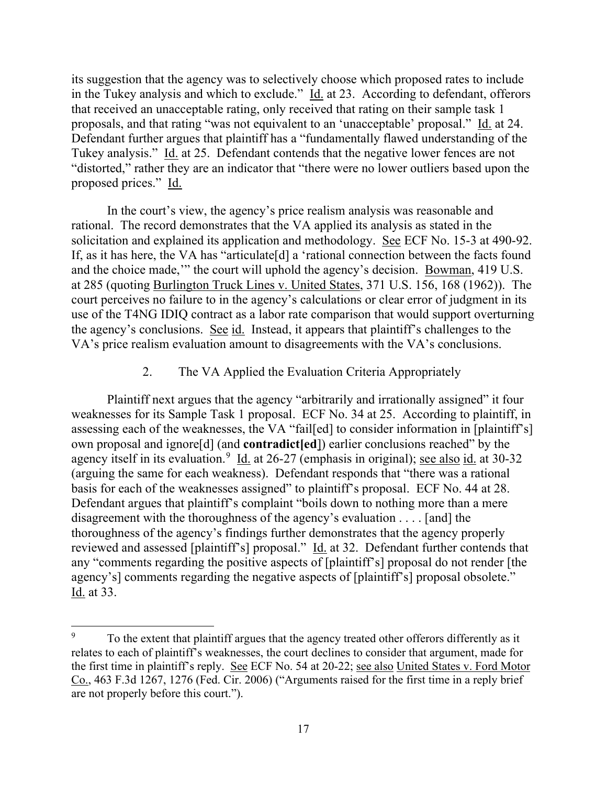its suggestion that the agency was to selectively choose which proposed rates to include in the Tukey analysis and which to exclude." Id. at 23. According to defendant, offerors that received an unacceptable rating, only received that rating on their sample task 1 proposals, and that rating "was not equivalent to an 'unacceptable' proposal." Id. at 24. Defendant further argues that plaintiff has a "fundamentally flawed understanding of the Tukey analysis." Id. at 25. Defendant contends that the negative lower fences are not "distorted," rather they are an indicator that "there were no lower outliers based upon the proposed prices." Id.

In the court's view, the agency's price realism analysis was reasonable and rational. The record demonstrates that the VA applied its analysis as stated in the solicitation and explained its application and methodology. See ECF No. 15-3 at 490-92. If, as it has here, the VA has "articulate[d] a 'rational connection between the facts found and the choice made,'" the court will uphold the agency's decision. Bowman, 419 U.S. at 285 (quoting Burlington Truck Lines v. United States, 371 U.S. 156, 168 (1962)). The court perceives no failure to in the agency's calculations or clear error of judgment in its use of the T4NG IDIQ contract as a labor rate comparison that would support overturning the agency's conclusions. See id. Instead, it appears that plaintiff's challenges to the VA's price realism evaluation amount to disagreements with the VA's conclusions.

#### 2. The VA Applied the Evaluation Criteria Appropriately

Plaintiff next argues that the agency "arbitrarily and irrationally assigned" it four weaknesses for its Sample Task 1 proposal. ECF No. 34 at 25. According to plaintiff, in assessing each of the weaknesses, the VA "fail[ed] to consider information in [plaintiff's] own proposal and ignore[d] (and **contradict[ed**]) earlier conclusions reached" by the agency itself in its evaluation.<sup>9</sup> Id. at 26-27 (emphasis in original); see also id. at 30-32 (arguing the same for each weakness). Defendant responds that "there was a rational basis for each of the weaknesses assigned" to plaintiff's proposal. ECF No. 44 at 28. Defendant argues that plaintiff's complaint "boils down to nothing more than a mere disagreement with the thoroughness of the agency's evaluation . . . . [and] the thoroughness of the agency's findings further demonstrates that the agency properly reviewed and assessed [plaintiff's] proposal." Id. at 32. Defendant further contends that any "comments regarding the positive aspects of [plaintiff's] proposal do not render [the agency's] comments regarding the negative aspects of [plaintiff's] proposal obsolete." Id. at 33.

 $9^9$  To the extent that plaintiff argues that the agency treated other offerors differently as it relates to each of plaintiff's weaknesses, the court declines to consider that argument, made for the first time in plaintiff's reply. See ECF No. 54 at 20-22; see also United States v. Ford Motor Co., 463 F.3d 1267, 1276 (Fed. Cir. 2006) ("Arguments raised for the first time in a reply brief are not properly before this court.").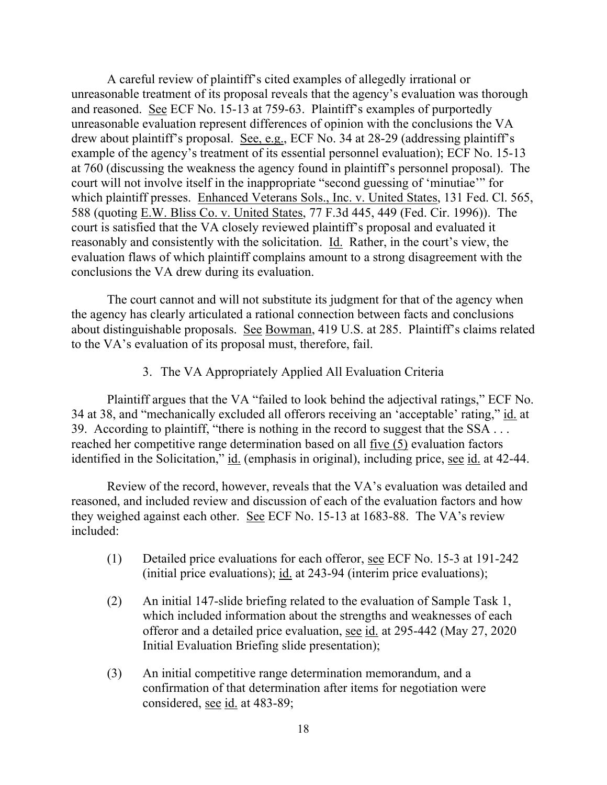A careful review of plaintiff's cited examples of allegedly irrational or unreasonable treatment of its proposal reveals that the agency's evaluation was thorough and reasoned. See ECF No. 15-13 at 759-63. Plaintiff's examples of purportedly unreasonable evaluation represent differences of opinion with the conclusions the VA drew about plaintiff's proposal. See, e.g., ECF No. 34 at 28-29 (addressing plaintiff's example of the agency's treatment of its essential personnel evaluation); ECF No. 15-13 at 760 (discussing the weakness the agency found in plaintiff's personnel proposal). The court will not involve itself in the inappropriate "second guessing of 'minutiae'" for which plaintiff presses. Enhanced Veterans Sols., Inc. v. United States, 131 Fed. Cl. 565, 588 (quoting E.W. Bliss Co. v. United States, 77 F.3d 445, 449 (Fed. Cir. 1996)). The court is satisfied that the VA closely reviewed plaintiff's proposal and evaluated it reasonably and consistently with the solicitation. Id. Rather, in the court's view, the evaluation flaws of which plaintiff complains amount to a strong disagreement with the conclusions the VA drew during its evaluation.

The court cannot and will not substitute its judgment for that of the agency when the agency has clearly articulated a rational connection between facts and conclusions about distinguishable proposals. See Bowman, 419 U.S. at 285. Plaintiff's claims related to the VA's evaluation of its proposal must, therefore, fail.

3. The VA Appropriately Applied All Evaluation Criteria

Plaintiff argues that the VA "failed to look behind the adjectival ratings," ECF No. 34 at 38, and "mechanically excluded all offerors receiving an 'acceptable' rating," id. at 39. According to plaintiff, "there is nothing in the record to suggest that the SSA . . . reached her competitive range determination based on all five (5) evaluation factors identified in the Solicitation," id. (emphasis in original), including price, see id. at 42-44.

Review of the record, however, reveals that the VA's evaluation was detailed and reasoned, and included review and discussion of each of the evaluation factors and how they weighed against each other. See ECF No. 15-13 at 1683-88. The VA's review included:

- (1) Detailed price evaluations for each offeror, see ECF No. 15-3 at 191-242 (initial price evaluations); id. at 243-94 (interim price evaluations);
- (2) An initial 147-slide briefing related to the evaluation of Sample Task 1, which included information about the strengths and weaknesses of each offeror and a detailed price evaluation, see id. at 295-442 (May 27, 2020 Initial Evaluation Briefing slide presentation);
- (3) An initial competitive range determination memorandum, and a confirmation of that determination after items for negotiation were considered, see id. at 483-89;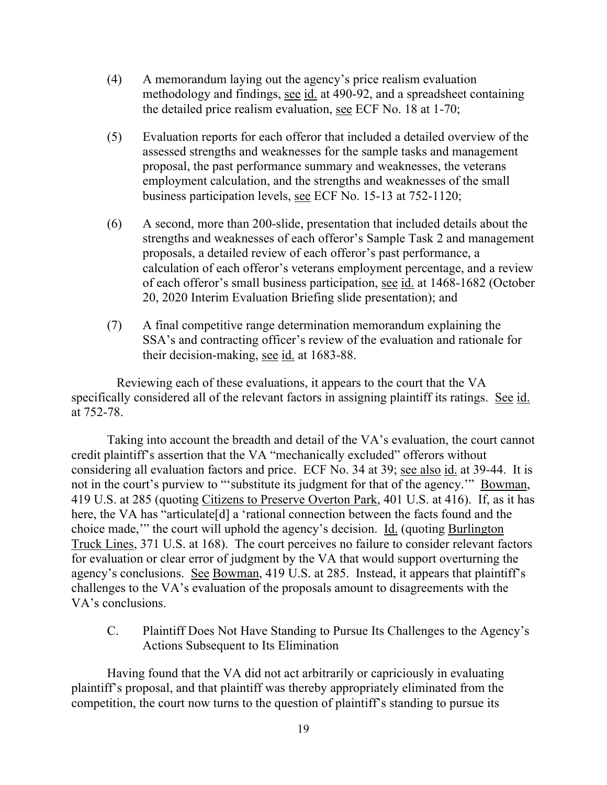- (4) A memorandum laying out the agency's price realism evaluation methodology and findings, see id. at 490-92, and a spreadsheet containing the detailed price realism evaluation, see ECF No. 18 at 1-70;
- (5) Evaluation reports for each offeror that included a detailed overview of the assessed strengths and weaknesses for the sample tasks and management proposal, the past performance summary and weaknesses, the veterans employment calculation, and the strengths and weaknesses of the small business participation levels, see ECF No. 15-13 at 752-1120;
- (6) A second, more than 200-slide, presentation that included details about the strengths and weaknesses of each offeror's Sample Task 2 and management proposals, a detailed review of each offeror's past performance, a calculation of each offeror's veterans employment percentage, and a review of each offeror's small business participation, see id. at 1468-1682 (October 20, 2020 Interim Evaluation Briefing slide presentation); and
- (7) A final competitive range determination memorandum explaining the SSA's and contracting officer's review of the evaluation and rationale for their decision-making, see id. at 1683-88.

 Reviewing each of these evaluations, it appears to the court that the VA specifically considered all of the relevant factors in assigning plaintiff its ratings. See id. at 752-78.

Taking into account the breadth and detail of the VA's evaluation, the court cannot credit plaintiff's assertion that the VA "mechanically excluded" offerors without considering all evaluation factors and price. ECF No. 34 at 39; see also id. at 39-44. It is not in the court's purview to "'substitute its judgment for that of the agency.'" Bowman, 419 U.S. at 285 (quoting Citizens to Preserve Overton Park, 401 U.S. at 416). If, as it has here, the VA has "articulate<sup>[d]</sup> a 'rational connection between the facts found and the choice made,'" the court will uphold the agency's decision. Id. (quoting Burlington Truck Lines, 371 U.S. at 168). The court perceives no failure to consider relevant factors for evaluation or clear error of judgment by the VA that would support overturning the agency's conclusions. See Bowman, 419 U.S. at 285. Instead, it appears that plaintiff's challenges to the VA's evaluation of the proposals amount to disagreements with the VA's conclusions.

C. Plaintiff Does Not Have Standing to Pursue Its Challenges to the Agency's Actions Subsequent to Its Elimination

Having found that the VA did not act arbitrarily or capriciously in evaluating plaintiff's proposal, and that plaintiff was thereby appropriately eliminated from the competition, the court now turns to the question of plaintiff's standing to pursue its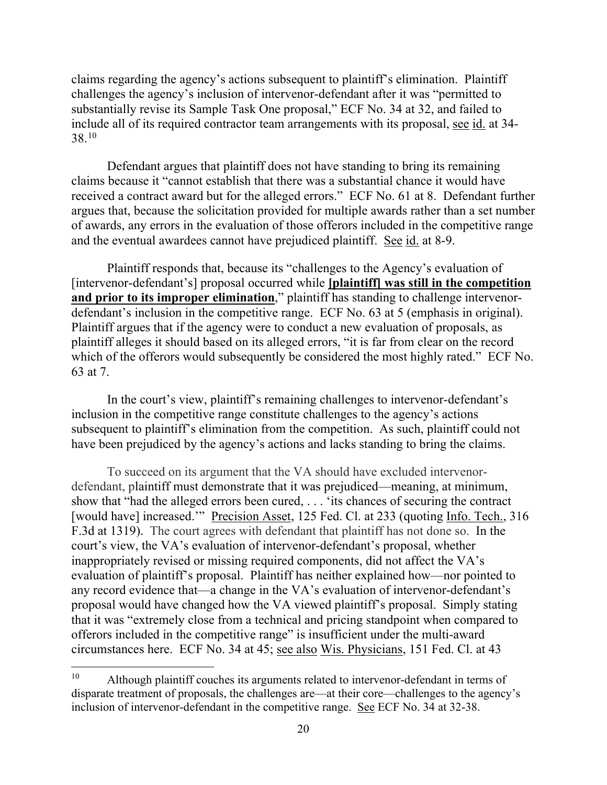claims regarding the agency's actions subsequent to plaintiff's elimination. Plaintiff challenges the agency's inclusion of intervenor-defendant after it was "permitted to substantially revise its Sample Task One proposal," ECF No. 34 at 32, and failed to include all of its required contractor team arrangements with its proposal, see id. at 34- 38.10

Defendant argues that plaintiff does not have standing to bring its remaining claims because it "cannot establish that there was a substantial chance it would have received a contract award but for the alleged errors." ECF No. 61 at 8. Defendant further argues that, because the solicitation provided for multiple awards rather than a set number of awards, any errors in the evaluation of those offerors included in the competitive range and the eventual awardees cannot have prejudiced plaintiff. See id. at 8-9.

Plaintiff responds that, because its "challenges to the Agency's evaluation of [intervenor-defendant's] proposal occurred while **[plaintiff] was still in the competition**  and prior to its improper elimination," plaintiff has standing to challenge intervenordefendant's inclusion in the competitive range. ECF No. 63 at 5 (emphasis in original). Plaintiff argues that if the agency were to conduct a new evaluation of proposals, as plaintiff alleges it should based on its alleged errors, "it is far from clear on the record which of the offerors would subsequently be considered the most highly rated." ECF No. 63 at 7.

In the court's view, plaintiff's remaining challenges to intervenor-defendant's inclusion in the competitive range constitute challenges to the agency's actions subsequent to plaintiff's elimination from the competition. As such, plaintiff could not have been prejudiced by the agency's actions and lacks standing to bring the claims.

To succeed on its argument that the VA should have excluded intervenordefendant, plaintiff must demonstrate that it was prejudiced—meaning, at minimum, show that "had the alleged errors been cured, . . . 'its chances of securing the contract [would have] increased." Precision Asset, 125 Fed. Cl. at 233 (quoting Info. Tech., 316 F.3d at 1319). The court agrees with defendant that plaintiff has not done so. In the court's view, the VA's evaluation of intervenor-defendant's proposal, whether inappropriately revised or missing required components, did not affect the VA's evaluation of plaintiff's proposal. Plaintiff has neither explained how—nor pointed to any record evidence that—a change in the VA's evaluation of intervenor-defendant's proposal would have changed how the VA viewed plaintiff's proposal. Simply stating that it was "extremely close from a technical and pricing standpoint when compared to offerors included in the competitive range" is insufficient under the multi-award circumstances here. ECF No. 34 at 45; see also Wis. Physicians, 151 Fed. Cl. at 43

<sup>&</sup>lt;sup>10</sup> Although plaintiff couches its arguments related to intervenor-defendant in terms of disparate treatment of proposals, the challenges are—at their core—challenges to the agency's inclusion of intervenor-defendant in the competitive range. See ECF No. 34 at 32-38.